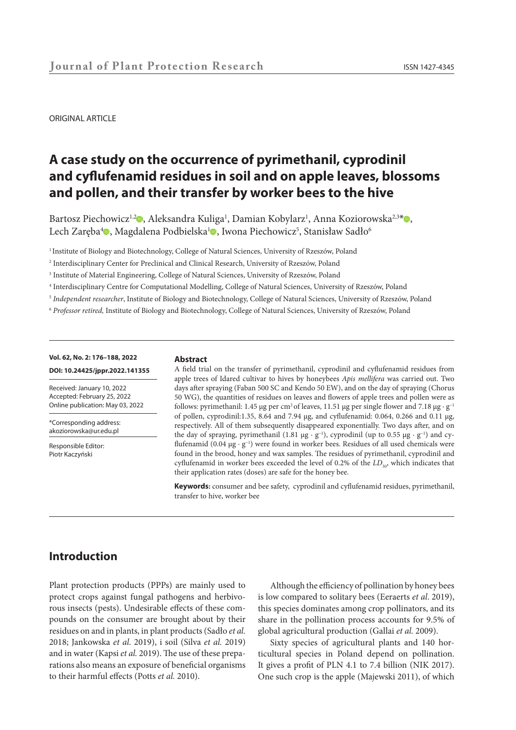ORIGINAL ARTICLE

# **A case study on the occurrence of pyrimethanil, cyprodinil and cyflufenamid residues in soil and on apple leaves, blossoms and pollen, and their transfer by worker bees to the hive**

Bartosz Piec[ho](https://orcid.org/0000-0002-2221-614X)wicz<sup>1,2</sup>0, Aleksandra Ku[lig](https://orcid.org/0000-0003-1329-993X)a<sup>1</sup>, Damian Kobylarz<sup>1</sup>, Anna Koziorowska<sup>2,3\*</sup>0, Lech Zaręba $^4\blacksquare$ , Magdalena Podbielska $^1\blacksquare$ , Iwona Piechowicz $^5$ , Stanisław Sadło $^6$ 

<sup>1</sup> Institute of Biology and Biotechnology, College of Natural Sciences, University of Rzeszów, Poland

- 2 Interdisciplinary Center for Preclinical and Clinical Research, University of Rzeszów, Poland
- 3 Institute of Material Engineering, College of Natural Sciences, University of Rzeszów, Poland
- 4 Interdisciplinary Centre for Computational Modelling, College of Natural Sciences, University of Rzeszów, Poland
- <sup>5</sup> *Independent researcher*, Institute of Biology and Biotechnology, College of Natural Sciences, University of Rzeszów, Poland
- <sup>6</sup> *Professor retired,* Institute of Biology and Biotechnology, College of Natural Sciences, University of Rzeszów, Poland

#### **Vol. 62, No. 2: 176–188, 2022**

#### **DOI: 10.24425/jppr.2022.141355**

Received: January 10, 2022 Accepted: February 25, 2022 Online publication: May 03, 2022

\*Corresponding address: akoziorowska@ur.edu.pl

Responsible Editor: Piotr Kaczyński

#### **Abstract**

A field trial on the transfer of pyrimethanil, cyprodinil and cyflufenamid residues from apple trees of Idared cultivar to hives by honeybees *Apis mellifera* was carried out. Two days after spraying (Faban 500 SC and Kendo 50 EW), and on the day of spraying (Chorus 50 WG), the quantities of residues on leaves and flowers of apple trees and pollen were as follows: pyrimethanil: 1.45 µg per cm<sup>2</sup> of leaves, 11.51 µg per single flower and 7.18 µg · g<sup>-1</sup> of pollen, cyprodinil:1.35, 8.64 and 7.94 µg, and cyflufenamid: 0.064, 0.266 and 0.11 µg, respectively. All of them subsequently disappeared exponentially. Two days after, and on the day of spraying, pyrimethanil (1.81 µg · g<sup>-1</sup>), cyprodinil (up to 0.55 µg · g<sup>-1</sup>) and cyflufenamid (0.04 µg · g<sup>-1</sup>) were found in worker bees. Residues of all used chemicals were found in the brood, honey and wax samples. The residues of pyrimethanil, cyprodinil and cyflufenamid in worker bees exceeded the level of 0.2% of the *LD<sub>50</sub>*, which indicates that their application rates (doses) are safe for the honey bee.

**Keywords:** consumer and bee safety, cyprodinil and cyflufenamid residues, pyrimethanil, transfer to hive, worker bee

## **Introduction**

Plant protection products (PPPs) are mainly used to protect crops against fungal pathogens and herbivorous insects (pests). Undesirable effects of these compounds on the consumer are brought about by their residues on and in plants, in plant products (Sadło *et al.*  2018; Jankowska *et al*. 2019), i soil (Silva *et al.* 2019) and in water (Kapsi *et al.* 2019). The use of these preparations also means an exposure of beneficial organisms to their harmful effects (Potts *et al.* 2010).

Although the efficiency of pollination by honey bees is low compared to solitary bees (Eeraerts *et al*. 2019), this species dominates among crop pollinators, and its share in the pollination process accounts for 9.5% of global agricultural production (Gallai *et al.* 2009).

Sixty species of agricultural plants and 140 horticultural species in Poland depend on pollination. It gives a profit of PLN 4.1 to 7.4 billion (NIK 2017). One such crop is the apple (Majewski 2011), of which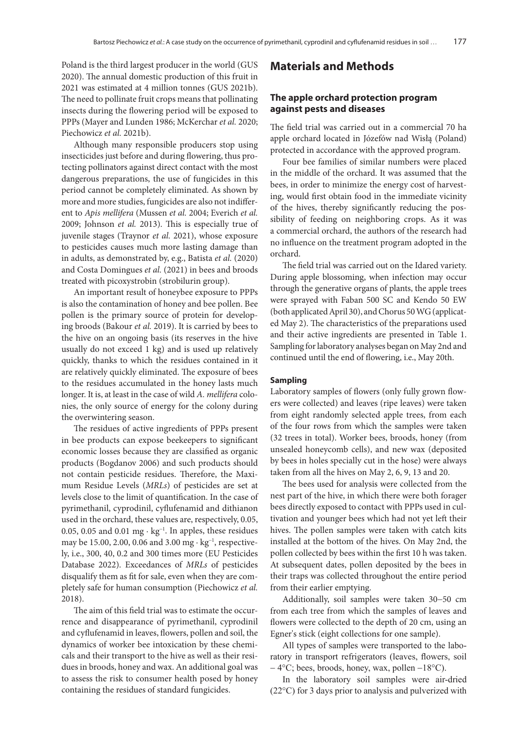Poland is the third largest producer in the world (GUS 2020). The annual domestic production of this fruit in 2021 was estimated at 4 million tonnes (GUS 2021b). The need to pollinate fruit crops means that pollinating insects during the flowering period will be exposed to PPPs (Mayer and Lunden 1986; McKerchar *et al.* 2020; Piechowicz *et al.* 2021b).

Although many responsible producers stop using insecticides just before and during flowering, thus protecting pollinators against direct contact with the most dangerous preparations, the use of fungicides in this period cannot be completely eliminated. As shown by more and more studies, fungicides are also not indifferent to *Apis mellifera* (Mussen *et al.* 2004; Everich *et al.* 2009; Johnson *et al.* 2013). This is especially true of juvenile stages (Traynor *et al.* 2021), whose exposure to pesticides causes much more lasting damage than in adults, as demonstrated by, e.g., Batista *et al.* (2020) and Costa Domingues *et al.* (2021) in bees and broods treated with picoxystrobin (strobilurin group).

An important result of honeybee exposure to PPPs is also the contamination of honey and bee pollen. Bee pollen is the primary source of protein for developing broods (Bakour *et al.* 2019). It is carried by bees to the hive on an ongoing basis (its reserves in the hive usually do not exceed 1 kg) and is used up relatively quickly, thanks to which the residues contained in it are relatively quickly eliminated. The exposure of bees to the residues accumulated in the honey lasts much longer. It is, at least in the case of wild *A. mellifera* colonies, the only source of energy for the colony during the overwintering season.

The residues of active ingredients of PPPs present in bee products can expose beekeepers to significant economic losses because they are classified as organic products (Bogdanov 2006) and such products should not contain pesticide residues. Therefore, the Maximum Residue Levels (*MRLs*) of pesticides are set at levels close to the limit of quantification. In the case of pyrimethanil, cyprodinil, cyflufenamid and dithianon used in the orchard, these values are, respectively, 0.05, 0.05, 0.05 and 0.01 mg · kg<sup>-1</sup>. In apples, these residues may be 15.00, 2.00, 0.06 and 3.00 mg · kg<sup>-1</sup>, respectively, i.e., 300, 40, 0.2 and 300 times more (EU Pesticides Database 2022). Exceedances of *MRLs* of pesticides disqualify them as fit for sale, even when they are completely safe for human consumption (Piechowicz *et al.* 2018).

The aim of this field trial was to estimate the occurrence and disappearance of pyrimethanil, cyprodinil and cyflufenamid in leaves, flowers, pollen and soil, the dynamics of worker bee intoxication by these chemicals and their transport to the hive as well as their residues in broods, honey and wax. An additional goal was to assess the risk to consumer health posed by honey containing the residues of standard fungicides.

## **Materials and Methods**

### **The apple orchard protection program against pests and diseases**

The field trial was carried out in a commercial 70 ha apple orchard located in Józefów nad Wisłą (Poland) protected in accordance with the approved program.

Four bee families of similar numbers were placed in the middle of the orchard. It was assumed that the bees, in order to minimize the energy cost of harvesting, would first obtain food in the immediate vicinity of the hives, thereby significantly reducing the possibility of feeding on neighboring crops. As it was a commercial orchard, the authors of the research had no influence on the treatment program adopted in the orchard.

The field trial was carried out on the Idared variety. During apple blossoming, when infection may occur through the generative organs of plants, the apple trees were sprayed with Faban 500 SC and Kendo 50 EW (both applicated April 30), and Chorus 50 WG (applicated May 2). The characteristics of the preparations used and their active ingredients are presented in Table 1. Sampling for laboratory analyses began on May 2nd and continued until the end of flowering, i.e., May 20th.

### **Sampling**

Laboratory samples of flowers (only fully grown flowers were collected) and leaves (ripe leaves) were taken from eight randomly selected apple trees, from each of the four rows from which the samples were taken (32 trees in total). Worker bees, broods, honey (from unsealed honeycomb cells), and new wax (deposited by bees in holes specially cut in the hose) were always taken from all the hives on May 2, 6, 9, 13 and 20.

The bees used for analysis were collected from the nest part of the hive, in which there were both forager bees directly exposed to contact with PPPs used in cultivation and younger bees which had not yet left their hives. The pollen samples were taken with catch kits installed at the bottom of the hives. On May 2nd, the pollen collected by bees within the first 10 h was taken. At subsequent dates, pollen deposited by the bees in their traps was collected throughout the entire period from their earlier emptying.

Additionally, soil samples were taken 30−50 cm from each tree from which the samples of leaves and flowers were collected to the depth of 20 cm, using an Egner's stick (eight collections for one sample).

All types of samples were transported to the laboratory in transport refrigerators (leaves, flowers, soil − 4°C; bees, broods, honey, wax, pollen −18°C).

In the laboratory soil samples were air-dried (22°C) for 3 days prior to analysis and pulverized with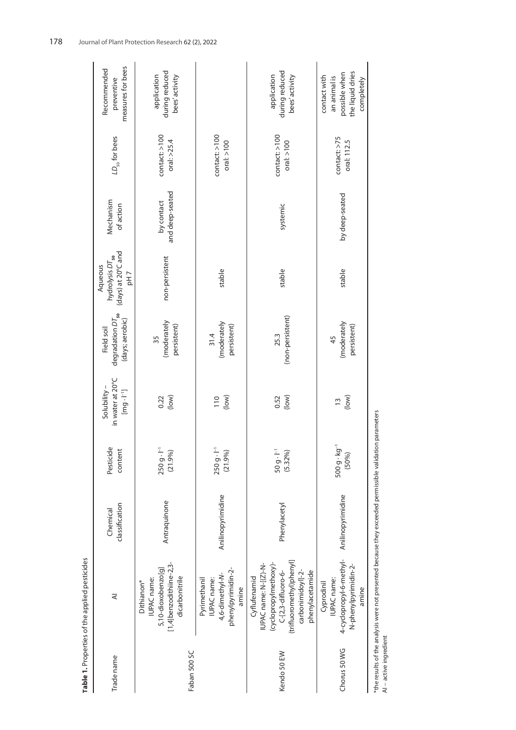| Trade name             | ₹                                                                                                                                                        | classification<br>Chemical | Pesticide<br>content              | in water at 20°C<br>Solubility-<br>$\left[\text{mg}\cdot\text{I}^{-1}\right]$ | degradation $DT_{50}$<br>(days; aerobic)<br>Field soil | (days) at 20°C and<br>hydrolysis DT <sub>50</sub><br>Aqueous<br>pH7 | Mechanism<br>of action        | $LD_{50}$ for bees                     | measures for bees<br>Recommended<br>preventive                                  |
|------------------------|----------------------------------------------------------------------------------------------------------------------------------------------------------|----------------------------|-----------------------------------|-------------------------------------------------------------------------------|--------------------------------------------------------|---------------------------------------------------------------------|-------------------------------|----------------------------------------|---------------------------------------------------------------------------------|
| Faban 500 SC           | [1,4]benzodithiine-2,3-<br>5,10-dioxobenzo[g]<br>dicarbonitrile<br>IUPAC name:<br>Dithianon*                                                             | Antraquinone               | $250 g \cdot l^{-1}$<br>(21.9%)   | (low)<br>0.22                                                                 | (moderately<br>persistent)<br>35                       | non-persistent                                                      | and deep-seated<br>by contact | contact: >100<br>oral: $>25.4$         | during reduced<br>application<br>bees' activity                                 |
|                        | phenylpyrimidin-2-<br>4,6-dimethyl-N-<br>Pyrimethanil<br>IUPAC name:<br>amine                                                                            | Anilinopyrimidine          | 250 g · I <sup>-1</sup><br>(21.9% | (low)<br>110                                                                  | (moderately<br>persistent)<br>31.4                     | stable                                                              |                               | $\text{contact}:$ >100<br>oral: $>100$ |                                                                                 |
| Kendo 50 EW            | (trifluoromethyl)phenyl]<br>(cyclopropyImethoxy)-<br>IUPAC name: N-[(Z)-N-<br>carbonimidoyl]-2-<br>phenylacetamide<br>C-[2,3-difluoro-6-<br>Cyflufenamid | Phenylacetyl               | $50 g \cdot l^{-1}$<br>(5.32%)    | (low)<br>0.52                                                                 | (non-persistent)<br>25.3                               | stable                                                              | systemic                      | control: > 100<br>oral: $>100$         | during reduced<br>application<br>bees' activity                                 |
| Chorus 50 WG           | 4-cyclopropyl-6-methyl-<br>N-phenylpyrimidin-2-<br>IUPAC name:<br>Cyprodinil<br>amine                                                                    | Anilinopyrimidine          | $500 g \cdot kg^{-1}$<br>(50%)    | (low)<br>$\frac{1}{2}$                                                        | (moderately<br>persistent)<br>45                       | stable                                                              | by deep-seated                | contact: >75<br>oral: 112.5            | the liquid dries<br>possible when<br>contact with<br>an animal is<br>completely |
| Al - active ingredient | *the results of the analysis were not presented because they exceeded permissible validation parameters                                                  |                            |                                   |                                                                               |                                                        |                                                                     |                               |                                        |                                                                                 |

Table 1. Properties of the applied pesticides **Table 1.** Properties of the applied pesticides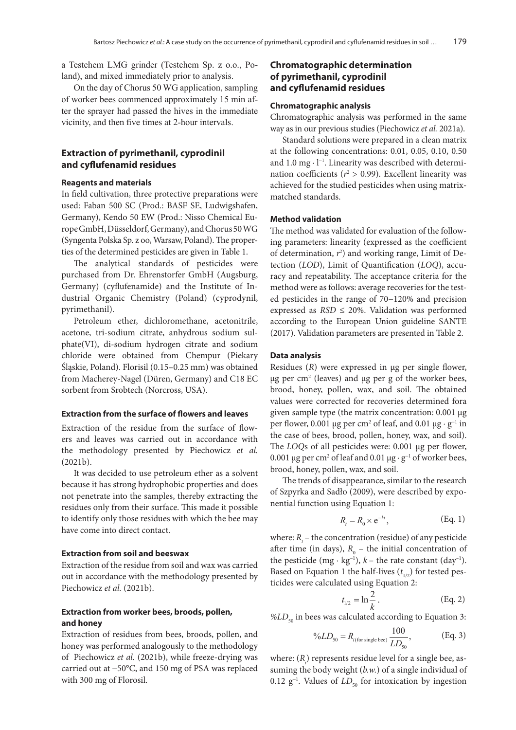a Testchem LMG grinder (Testchem Sp. z o.o., Poland), and mixed immediately prior to analysis.

On the day of Chorus 50 WG application, sampling of worker bees commenced approximately 15 min after the sprayer had passed the hives in the immediate vicinity, and then five times at 2-hour intervals.

### **Extraction of pyrimethanil, cyprodinil and cyflufenamid residues**

#### **Reagents and materials**

In field cultivation, three protective preparations were used: Faban 500 SC (Prod.: BASF SE, Ludwigshafen, Germany), Kendo 50 EW (Prod.: Nisso Chemical Europe GmbH, Düsseldorf, Germany), and Chorus 50 WG (Syngenta Polska Sp. z oo, Warsaw, Poland). The properties of the determined pesticides are given in Table 1.

The analytical standards of pesticides were purchased from Dr. Ehrenstorfer GmbH (Augsburg, Germany) (cyflufenamide) and the Institute of Industrial Organic Chemistry (Poland) (cyprodynil, pyrimethanil).

Petroleum ether, dichloromethane, acetonitrile, acetone, tri-sodium citrate, anhydrous sodium sulphate(VI), di-sodium hydrogen citrate and sodium chloride were obtained from Chempur (Piekary Śląskie, Poland). Florisil (0.15–0.25 mm) was obtained from Macherey-Nagel (Düren, Germany) and C18 EC sorbent from Srobtech (Norcross, USA).

#### **Extraction from the surface of flowers and leaves**

Extraction of the residue from the surface of flowers and leaves was carried out in accordance with the methodology presented by Piechowicz *et al.* (2021b).

It was decided to use petroleum ether as a solvent because it has strong hydrophobic properties and does not penetrate into the samples, thereby extracting the residues only from their surface. This made it possible to identify only those residues with which the bee may have come into direct contact.

### **Extraction from soil and beeswax**

Extraction of the residue from soil and wax was carried out in accordance with the methodology presented by Piechowicz et al. (2021b).

### **Extraction from worker bees, broods, pollen, and honey**

Extraction of residues from bees, broods, pollen, and honey was performed analogously to the methodology of Piechowicz *et al.* (2021b), while freeze-drying was carried out at −50°C, and 150 mg of PSA was replaced with 300 mg of Florosil.

### **Chromatographic determination of pyrimethanil, cyprodinil and cyflufenamid residues**

### **Chromatographic analysis**

Chromatographic analysis was performed in the same way as in our previous studies (Piechowicz *et al.* 2021a).

Standard solutions were prepared in a clean matrix at the following concentrations: 0.01, 0.05, 0.10, 0.50 and 1.0 mg · l<sup>-1</sup>. Linearity was described with determination coefficients ( $r^2 > 0.99$ ). Excellent linearity was achieved for the studied pesticides when using matrixmatched standards.

#### **Method validation**

The method was validated for evaluation of the following parameters: linearity (expressed as the coefficient of determination, *r*<sup>2</sup> ) and working range, Limit of Detection (*LOD*), Limit of Quantification (*LOQ*), accuracy and repeatability. The acceptance criteria for the method were as follows: average recoveries for the tested pesticides in the range of 70−120% and precision expressed as  $RSD \le 20\%$ . Validation was performed according to the European Union guideline SANTE (2017). Validation parameters are presented in Table 2.

#### **Data analysis**

Residues (*R*) were expressed in µg per single flower,  $\mu$ g per cm<sup>2</sup> (leaves) and  $\mu$ g per g of the worker bees, brood, honey, pollen, wax, and soil. The obtained values were corrected for recoveries determined fora given sample type (the matrix concentration: 0.001 µg per flower, 0.001 µg per cm<sup>2</sup> of leaf, and 0.01 µg  $\cdot$  g<sup>-1</sup> in the case of bees, brood, pollen, honey, wax, and soil). The *LOQ*s of all pesticides were: 0.001 µg per flower, 0.001 µg per cm<sup>2</sup> of leaf and 0.01 µg  $\cdot$  g<sup>-1</sup> of worker bees, brood, honey, pollen, wax, and soil.

The trends of disappearance, similar to the research of Szpyrka and Sadło (2009), were described by exponential function using Equation 1:

$$
R_t = R_0 \times e^{-kt}, \qquad \text{(Eq. 1)}
$$

 $\ddot{\phantom{2}}$ Based on Equation 1 the half-lives  $(t_{1/2})$  for tested pes-<br>ticides were calculated using Fquation 2. where:  $R_t$  – the concentration (residue) of any pesticide after time (in days),  $R_0$  – the initial concentration of the pesticide (mg ·  $kg^{-1}$ ),  $k$  – the rate constant (day<sup>-1</sup>). ticides were calculated using Equation 2:

$$
t_{1/2} = \ln \frac{2}{k} \,. \tag{Eq. 2}
$$

$$
\%LD_{50} \text{ in bees was calculated according to Equation 3:}
$$

$$
\%LD_{50} = R_{i\text{(for single bee)}} \frac{100}{LD_{50}}, \qquad \text{(Eq. 3)}
$$

0.12 g<sup>−1</sup>. Values of *LD*<sub>50</sub> for intoxication by ingestion where:  $(R_i)$  represents residue level for a single bee, assuming the body weight ( $b$ .w.) of a single individual of *<sup>R</sup> MRL*

% 100 , *<sup>n</sup> <sup>i</sup>*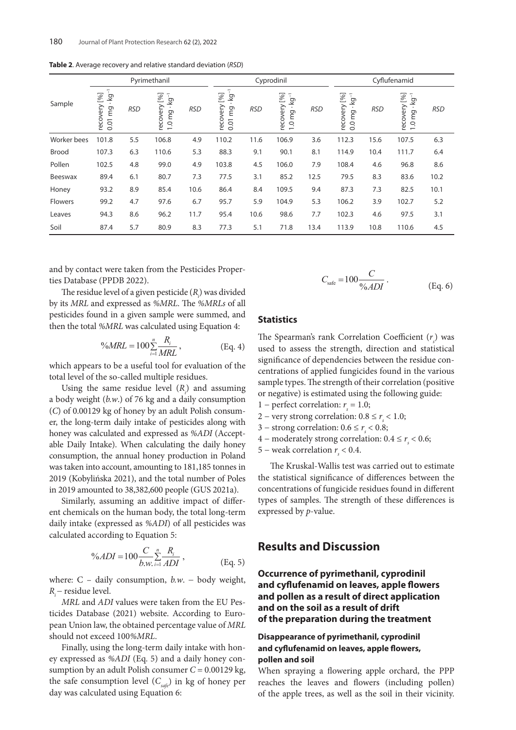|             |                                                              |            | Pyrimethanil                                |            |                                                 |            | Cyprodinil                                                      |            |                                             |            | Cyflufenamid                              |            |
|-------------|--------------------------------------------------------------|------------|---------------------------------------------|------------|-------------------------------------------------|------------|-----------------------------------------------------------------|------------|---------------------------------------------|------------|-------------------------------------------|------------|
| Sample      | $\equiv$<br>$[96]$<br><u>loy</u><br>٠<br>recovery<br>0.01 mg | <b>RSD</b> | recovery [%]<br>$-64.$<br>1.0 <sub>mg</sub> | <b>RSD</b> | π<br>[%]<br><u>ତୁ</u><br>recovery<br>mg<br>0.01 | <b>RSD</b> | recovery [%]<br><u>loy</u><br>$\bullet$<br>mg<br>$\overline{0}$ | <b>RSD</b> | recovery [%]<br>kg<br>$\bullet$<br>$0.0$ mg | <b>RSD</b> | recovery [%]<br>-by-<br>1.0 <sub>mg</sub> | <b>RSD</b> |
| Worker bees | 101.8                                                        | 5.5        | 106.8                                       | 4.9        | 110.2                                           | 11.6       | 106.9                                                           | 3.6        | 112.3                                       | 15.6       | 107.5                                     | 6.3        |
| Brood       | 107.3                                                        | 6.3        | 110.6                                       | 5.3        | 88.3                                            | 9.1        | 90.1                                                            | 8.1        | 114.9                                       | 10.4       | 111.7                                     | 6.4        |
| Pollen      | 102.5                                                        | 4.8        | 99.0                                        | 4.9        | 103.8                                           | 4.5        | 106.0                                                           | 7.9        | 108.4                                       | 4.6        | 96.8                                      | 8.6        |
| Beeswax     | 89.4                                                         | 6.1        | 80.7                                        | 7.3        | 77.5                                            | 3.1        | 85.2                                                            | 12.5       | 79.5                                        | 8.3        | 83.6                                      | 10.2       |
| Honey       | 93.2                                                         | 8.9        | 85.4                                        | 10.6       | 86.4                                            | 8.4        | 109.5                                                           | 9.4        | 87.3                                        | 7.3        | 82.5                                      | 10.1       |
| Flowers     | 99.2                                                         | 4.7        | 97.6                                        | 6.7        | 95.7                                            | 5.9        | 104.9                                                           | 5.3        | 106.2                                       | 3.9        | 102.7                                     | 5.2        |
| Leaves      | 94.3                                                         | 8.6        | 96.2                                        | 11.7       | 95.4                                            | 10.6       | 98.6                                                            | 7.7        | 102.3                                       | 4.6        | 97.5                                      | 3.1        |
| Soil        | 87.4                                                         | 5.7        | 80.9                                        | 8.3        | 77.3                                            | 5.1        | 71.8                                                            | 13.4       | 113.9                                       | 10.8       | 110.6                                     | 4.5        |

**Table 2**. Average recovery and relative standard deviation (*RSD*)

and by contact were taken from the Pesticides Properties Database (PPDB 2022).

Database (PPDB 2022).<br>The residue level of a given pesticide (*R<sub>i</sub>*) was divided by its *MRL* and expressed as %MRL. The %MRLs of all pesticides found in a given sample were summed, and then the total *%MRL* was calculated using Equation 4:

$$
\%MRL = 100 \sum_{i=1}^{n} \frac{R_i}{MRL}, \quad \text{(Eq. 4)}
$$

which appears to be a useful tool for evaluation of the total level of the so-called multiple residues. 2

a boay weight (*b.w.*) or /6 kg and a daily consumption<br>(*C*) of 0.00129 kg of honey by an adult Polish consuma body weight (*b.w*.) of 76 kg and a daily consumption consumption, the annual honey production in Poland consumption, the annual noney production in Poland<br>was taken into account, amounting to 181,185 tonnes in Using the same residue level  $(R_i)$  and assuming er, the long-term daily intake of pesticides along with honey was calculated and expressed as *%ADI* (Accepthoney was calculated and expressed as *%ADI* (Accept-<br>able Daily Intake). When calculating the daily honey 2019 (Kobylińska 2021), and the total number of Poles in 2019 amounted to 38,382,600 people (GUS 2021a).

calculated according to Equation 5: Similarly, assuming an additive impact of differ-<br>*Remiarly, assuming an additive impact of differ*ent chemicals on the human body, the total long-term 1 *i* daily intake (expressed as *%ADI*) of all pesticides was

$$
\%ADI = 100 \frac{C}{b.w.} \sum_{i=1}^{n} \frac{R_i}{ADI},
$$
 (Eq. 5)

where: C – daily consumption, *b.w*. − body weight, *R* − residue level.

FIRE and *ADI* values were taken from the EU Pes-<br>ticides Database (2021) website. According to Euro-% pean Union law, the obtained percentage value of *MRL MRL* and *ADI* values were taken from the EU Pesshould not exceed 100*%MRL*.

day was calculated using Equation 6: the safe consumption level  $(C_{\text{safe}})$  in kg of honey per Finally, using the long-term daily intake with honey expressed as *%ADI* (Eq. 5) and a daily honey consumption by an adult Polish consumer *C* = 0.00129 kg,

$$
C_{\text{safe}} = 100 \frac{C}{\%ADI} \,. \tag{Eq. 6}
$$

### **Statistics**

bed to assess the strength, direction and statistical<br>significance of dependencies between the residue con- used to assess the strength, direction and statistical The Spearman's rank Correlation Coefficient (*rs* ) was centrations of applied fungicides found in the various sample types. The strength of their correlation (positive or negative) is estimated using the following guide:

- 1 perfect correlation:  $r<sub>s</sub> = 1.0$ ;
- 2 very strong correlation:  $0.8 \le r_s < 1.0$ ;
- 3 strong correlation:  $0.6 \le r_s < 0.8$ ;
- 4 moderately strong correlation:  $0.4 \le r_s < 0.6$ ;
- 5 weak correlation  $r<sub>s</sub> < 0.4$ .

The Kruskal-Wallis test was carried out to estimate the statistical significance of differences between the concentrations of fungicide residues found in different types of samples. The strength of these differences is expressed by *p*-value.

## **Results and Discussion**

**Occurrence of pyrimethanil, cyprodinil and cyflufenamid on leaves, apple flowers and pollen as a result of direct application and on the soil as a result of drift of the preparation during the treatment**

### **Disappearance of pyrimethanil, cyprodinil and cyflufenamid on leaves, apple flowers, pollen and soil**

When spraying a flowering apple orchard, the PPP reaches the leaves and flowers (including pollen) of the apple trees, as well as the soil in their vicinity.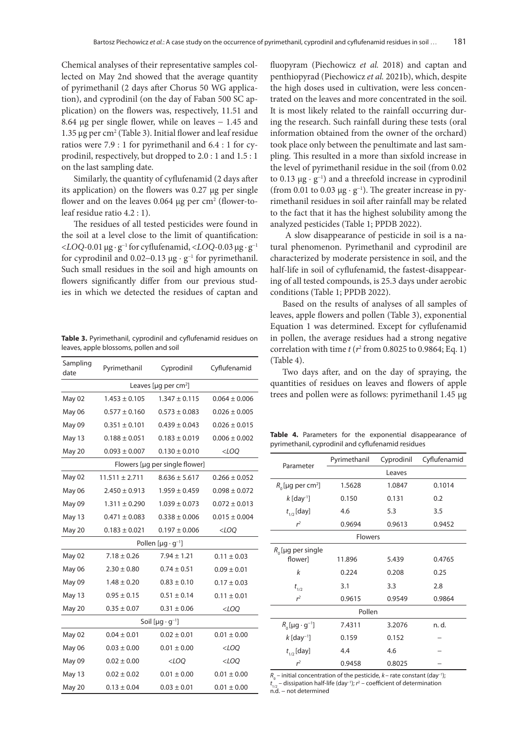Chemical analyses of their representative samples collected on May 2nd showed that the average quantity of pyrimethanil (2 days after Chorus 50 WG application), and cyprodinil (on the day of Faban 500 SC application) on the flowers was, respectively, 11.51 and 8.64 µg per single flower, while on leaves − 1.45 and 1.35  $\mu$ g per cm<sup>2</sup> (Table 3). Initial flower and leaf residue ratios were 7.9 : 1 for pyrimethanil and 6.4 : 1 for cyprodinil, respectively, but dropped to 2.0 : 1 and 1.5 : 1 on the last sampling date.

Similarly, the quantity of cyflufenamid (2 days after its application) on the flowers was 0.27 µg per single flower and on the leaves  $0.064 \mu$ g per cm<sup>2</sup> (flower-toleaf residue ratio 4.2 : 1).

The residues of all tested pesticides were found in the soil at a level close to the limit of quantification: <*LOQ*-0.01 µg · g<sup>−</sup><sup>1</sup> for cyflufenamid, <*LOQ*-0.03 µg · g<sup>−</sup><sup>1</sup> for cyprodinil and  $0.02-0.13 \mu g \cdot g^{-1}$  for pyrimethanil. Such small residues in the soil and high amounts on flowers significantly differ from our previous studies in which we detected the residues of captan and

**Table 3.** Pyrimethanil, cyprodinil and cyflufenamid residues on leaves, apple blossoms, pollen and soil

| Sampling<br>date                       | Pyrimethanil       | Cyprodinil                           | Cyflufenamid        |  |  |  |  |  |
|----------------------------------------|--------------------|--------------------------------------|---------------------|--|--|--|--|--|
| Leaves [ $\mu$ g per cm <sup>2</sup> ] |                    |                                      |                     |  |  |  |  |  |
| May 02                                 | $1.453 \pm 0.105$  | $1.347 \pm 0.115$                    | $0.064 \pm 0.006$   |  |  |  |  |  |
| May 06                                 | $0.577 \pm 0.160$  | $0.573 \pm 0.083$                    | $0.026 \pm 0.005$   |  |  |  |  |  |
| May 09                                 | $0.351 \pm 0.101$  | $0.439 \pm 0.043$                    | $0.026 \pm 0.015$   |  |  |  |  |  |
| May 13                                 | $0.188 \pm 0.051$  | $0.183 \pm 0.019$                    | $0.006 \pm 0.002$   |  |  |  |  |  |
| May 20                                 | $0.093 \pm 0.007$  | $0.130 \pm 0.010$                    | $<$ LOQ             |  |  |  |  |  |
| Flowers [µg per single flower]         |                    |                                      |                     |  |  |  |  |  |
| May 02                                 | $11.511 \pm 2.711$ | $8.636 \pm 5.617$                    | $0.266 \pm 0.052$   |  |  |  |  |  |
| May 06                                 | $2.450 \pm 0.913$  | $1.959 \pm 0.459$                    | $0.098 \pm 0.072$   |  |  |  |  |  |
| May 09                                 | $1.311 \pm 0.290$  | $1.039 \pm 0.073$                    | $0.072 \pm 0.013$   |  |  |  |  |  |
| May 13                                 | $0.471 \pm 0.083$  | $0.338 \pm 0.006$                    | $0.015 \pm 0.004$   |  |  |  |  |  |
| May 20                                 | $0.183 \pm 0.021$  | $0.197 \pm 0.006$                    | $<$ LOQ             |  |  |  |  |  |
|                                        |                    | Pollen [ $\mu$ g · g <sup>-1</sup> ] |                     |  |  |  |  |  |
| May 02                                 | $7.18 \pm 0.26$    | $7.94 \pm 1.21$                      | $0.11 \pm 0.03$     |  |  |  |  |  |
| May 06                                 | $2.30 \pm 0.80$    | $0.74 \pm 0.51$                      | $0.09 \pm 0.01$     |  |  |  |  |  |
| May 09                                 | $1.48 \pm 0.20$    | $0.83 \pm 0.10$                      | $0.17 \pm 0.03$     |  |  |  |  |  |
| May 13                                 | $0.95 \pm 0.15$    | $0.51 \pm 0.14$                      | $0.11 \pm 0.01$     |  |  |  |  |  |
| May 20                                 | $0.35 \pm 0.07$    | $0.31 \pm 0.06$                      | $<$ LOQ             |  |  |  |  |  |
| Soil [ $\mu$ g · g <sup>-1</sup> ]     |                    |                                      |                     |  |  |  |  |  |
| May 02                                 | $0.04 \pm 0.01$    | $0.02 \pm 0.01$                      | $0.01 \pm 0.00$     |  |  |  |  |  |
| May 06                                 | $0.03 \pm 0.00$    | $0.01 \pm 0.00$                      | <loq< td=""></loq<> |  |  |  |  |  |
| May 09                                 | $0.02 \pm 0.00$    | $<$ LOQ                              | $<$ LOQ             |  |  |  |  |  |
| May 13                                 | $0.02 \pm 0.02$    | $0.01 \pm 0.00$                      | $0.01 \pm 0.00$     |  |  |  |  |  |
| May 20                                 | $0.13 \pm 0.04$    | $0.03 \pm 0.01$                      | $0.01 \pm 0.00$     |  |  |  |  |  |

fluopyram (Piechowicz *et al.* 2018) and captan and penthiopyrad (Piechowicz *et al.* 2021b), which, despite the high doses used in cultivation, were less concentrated on the leaves and more concentrated in the soil. It is most likely related to the rainfall occurring during the research. Such rainfall during these tests (oral information obtained from the owner of the orchard) took place only between the penultimate and last sampling. This resulted in a more than sixfold increase in the level of pyrimethanil residue in the soil (from 0.02 to 0.13 µg · g<sup>−</sup><sup>1</sup> ) and a threefold increase in cyprodinil (from 0.01 to 0.03 µg · g<sup>−</sup><sup>1</sup> ). The greater increase in pyrimethanil residues in soil after rainfall may be related to the fact that it has the highest solubility among the analyzed pesticides (Table 1; PPDB 2022).

 A slow disappearance of pesticide in soil is a natural phenomenon. Pyrimethanil and cyprodinil are characterized by moderate persistence in soil, and the half-life in soil of cyflufenamid, the fastest-disappearing of all tested compounds, is 25.3 days under aerobic conditions (Table 1; PPDB 2022).

Based on the results of analyses of all samples of leaves, apple flowers and pollen (Table 3), exponential Equation 1 was determined. Except for cyflufenamid in pollen, the average residues had a strong negative correlation with time  $t$  ( $r^2$  from 0.8025 to 0.9864; Eq. 1) (Table 4).

Two days after, and on the day of spraying, the quantities of residues on leaves and flowers of apple trees and pollen were as follows: pyrimethanil 1.45 µg

**Table 4.** Parameters for the exponential disappearance of pyrimethanil, cyprodinil and cyflufenamid residues

| Parameter                       | Pyrimethanil   | Cyprodinil | Cyflufenamid |  |
|---------------------------------|----------------|------------|--------------|--|
|                                 |                | Leaves     |              |  |
| $R_0$ [µg per cm <sup>2</sup> ] | 1.5628         | 1.0847     | 0.1014       |  |
| $k$ [day <sup>-1</sup> ]        | 0.150          | 0.131      | 0.2          |  |
| $t_{1/2}$ [day]                 | 4.6            | 5.3        | 3.5          |  |
| r <sup>2</sup>                  | 0.9694         | 0.9613     | 0.9452       |  |
|                                 | <b>Flowers</b> |            |              |  |
| $R_0$ [µg per single            |                |            |              |  |
| flower]                         | 11.896         | 5.439      | 0.4765       |  |
| k                               | 0.224          | 0.208      | 0.25         |  |
| $t_{1/2}$                       | 3.1            | 3.3        | 2.8          |  |
| r <sup>2</sup>                  | 0.9615         | 0.9549     | 0.9864       |  |
|                                 | Pollen         |            |              |  |
| $R_0$ [µg · g <sup>-1</sup> ]   | 7.4311         | 3.2076     | n. d.        |  |
| $k$ [day <sup>-1</sup> ]        | 0.159          | 0.152      |              |  |
| $t_{1/2}$ [day]                 | 4.4            | 4.6        |              |  |
| r <sup>2</sup>                  | 0.9458         | 0.8025     |              |  |

 $R_{\rm o}$  – initial concentration of the pesticide,  $k$  – rate constant (day<sup>-1</sup>); *t* 1/2 – dissipation half-life (day–1); *r* 2 – coefficient of determination n.d. − not determined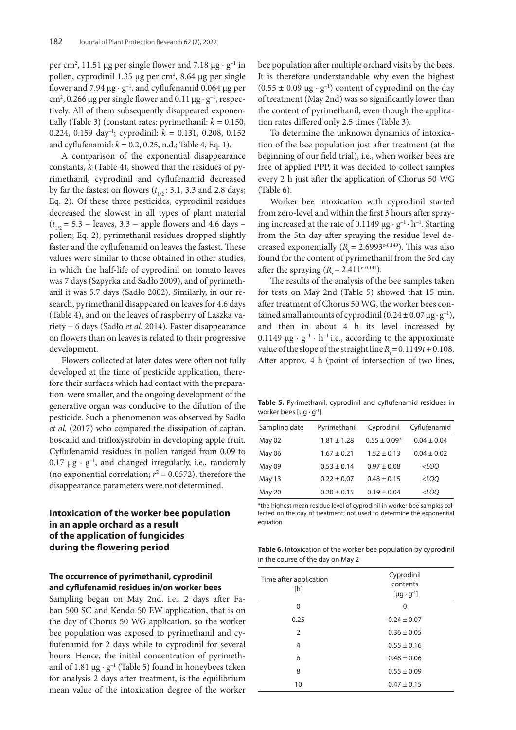per cm<sup>2</sup>, 11.51 µg per single flower and 7.18 µg ·  $g^{-1}$  in pollen, cyprodinil 1.35 µg per cm<sup>2</sup>, 8.64 µg per single flower and 7.94 µg · g<sup>−</sup><sup>1</sup> , and cyflufenamid 0.064 µg per cm<sup>2</sup>, 0.266 µg per single flower and 0.11 µg  $\cdot$  g<sup>-1</sup>, respectively. All of them subsequently disappeared exponentially (Table 3) (constant rates: pyrimethanil:  $k = 0.150$ , 0.224, 0.159 day<sup>−</sup><sup>1</sup> ; cyprodinil: *k* = 0.131, 0.208, 0.152 and cyflufenamid: *k* = 0.2, 0.25, n.d.; Table 4, Eq. 1).

A comparison of the exponential disappearance constants, *k* (Table 4), showed that the residues of pyrimethanil, cyprodinil and cyflufenamid decreased by far the fastest on flowers (*t* 1/2 : 3.1, 3.3 and 2.8 days; Eq. 2). Of these three pesticides, cyprodinil residues decreased the slowest in all types of plant material  $(t_{1/2} = 5.3 - \text{leaves}, 3.3 - \text{apple flowers} \text{ and } 4.6 \text{ days} - \text{?}$ pollen; Eq. 2), pyrimethanil residues dropped slightly faster and the cyflufenamid on leaves the fastest. These values were similar to those obtained in other studies, in which the half-life of cyprodinil on tomato leaves was 7 days (Szpyrka and Sadło 2009), and of pyrimethanil it was 5.7 days (Sadło 2002). Similarly, in our research, pyrimethanil disappeared on leaves for 4.6 days (Table 4), and on the leaves of raspberry of Laszka variety − 6 days (Sadło *et al.* 2014). Faster disappearance on flowers than on leaves is related to their progressive development.

Flowers collected at later dates were often not fully developed at the time of pesticide application, therefore their surfaces which had contact with the preparation were smaller, and the ongoing development of the generative organ was conducive to the dilution of the pesticide. Such a phenomenon was observed by Sadło *et al.* (2017) who compared the dissipation of captan, boscalid and trifloxystrobin in developing apple fruit. Cyflufenamid residues in pollen ranged from 0.09 to 0.17 µg · g<sup>−</sup><sup>1</sup> , and changed irregularly, i.e., randomly (no exponential correlation;  $r^2 = 0.0572$ ), therefore the disappearance parameters were not determined.

## **Intoxication of the worker bee population in an apple orchard as a result of the application of fungicides during the flowering period**

### **The occurrence of pyrimethanil, cyprodinil and cyflufenamid residues in/on worker bees**

Sampling began on May 2nd, i.e., 2 days after Faban 500 SC and Kendo 50 EW application, that is on the day of Chorus 50 WG application. so the worker bee population was exposed to pyrimethanil and cyflufenamid for 2 days while to cyprodinil for several hours. Hence, the initial concentration of pyrimethanil of 1.81  $\mu$ g · g<sup>-1</sup> (Table 5) found in honeybees taken for analysis 2 days after treatment, is the equilibrium mean value of the intoxication degree of the worker

bee population after multiple orchard visits by the bees. It is therefore understandable why even the highest (0.55 ± 0.09  $\mu$ g · g<sup>-1</sup>) content of cyprodinil on the day of treatment (May 2nd) was so significantly lower than the content of pyrimethanil, even though the application rates differed only 2.5 times (Table 3).

To determine the unknown dynamics of intoxication of the bee population just after treatment (at the beginning of our field trial), i.e., when worker bees are free of applied PPP, it was decided to collect samples every 2 h just after the application of Chorus 50 WG (Table 6).

Worker bee intoxication with cyprodinil started from zero-level and within the first 3 hours after spraying increased at the rate of 0.1149  $\mu$ g · g<sup>-1</sup> · h<sup>-1</sup>. Starting from the 5th day after spraying the residue level decreased exponentially  $(R = 2.6993e^{-0.149})$ . This was also found for the content of pyrimethanil from the 3rd day after the spraying  $(R_1 = 2.411e^{-0.141})$ .

The results of the analysis of the bee samples taken for tests on May 2nd (Table 5) showed that 15 min. after treatment of Chorus 50 WG, the worker bees contained small amounts of cyprodinil  $(0.24 \pm 0.07 \,\mu\text{g}\cdot\text{g}^{-1})$ , and then in about 4 h its level increased by 0.1149  $\mu$ g · g<sup>-1</sup> · h<sup>-1</sup> i.e., according to the approximate value of the slope of the straight line  $R_1 = 0.1149t + 0.108$ . After approx. 4 h (point of intersection of two lines,

**Table 5.** Pyrimethanil, cyprodinil and cyflufenamid residues in worker bees  $[\mu g \cdot g^{-1}]$ 

| Sampling date | Pyrimethanil    | Cyprodinil       | Cyflufenamid    |
|---------------|-----------------|------------------|-----------------|
| May 02        | $1.81 \pm 1.28$ | $0.55 \pm 0.09*$ | $0.04 \pm 0.04$ |
| May 06        | $1.67 \pm 0.21$ | $1.52 \pm 0.13$  | $0.04 \pm 0.02$ |
| May 09        | $0.53 \pm 0.14$ | $0.97 \pm 0.08$  | $<$ LOO         |
| May 13        | $0.22 \pm 0.07$ | $0.48 \pm 0.15$  | $<$ LOO         |
| May 20        | $0.20 \pm 0.15$ | $0.19 \pm 0.04$  | $<$ LOQ         |

\*the highest mean residue level of cyprodinil in worker bee samples collected on the day of treatment; not used to determine the exponential equation

**Table 6.** Intoxication of the worker bee population by cyprodinil in the course of the day on May 2

| Time after application<br>[h] | Cyprodinil<br>contents<br>$[\mu g \cdot g^{-1}]$ |  |  |
|-------------------------------|--------------------------------------------------|--|--|
| 0                             | O                                                |  |  |
| 0.25                          | $0.24 \pm 0.07$                                  |  |  |
| $\overline{2}$                | $0.36 \pm 0.05$                                  |  |  |
| 4                             | $0.55 \pm 0.16$                                  |  |  |
| 6                             | $0.48 \pm 0.06$                                  |  |  |
| 8                             | $0.55 \pm 0.09$                                  |  |  |
| 10                            | $0.47 \pm 0.15$                                  |  |  |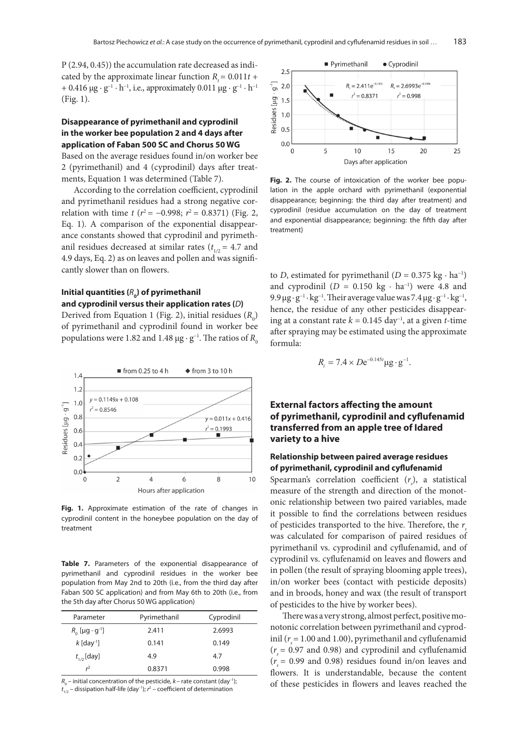P (2.94, 0.45)) the accumulation rate decreased as indicated by the approximate linear function  $R = 0.011t +$ + 0.416  $\mu$ g · g<sup>-1</sup> · h<sup>-1</sup>, i.e., approximately 0.011  $\mu$ g · g<sup>-1</sup> · h<sup>-1</sup> (Fig. 1).

## **Disappearance of pyrimethanil and cyprodinil in the worker bee population 2 and 4 days after application of Faban 500 SC and Chorus 50 WG**

Based on the average residues found in/on worker bee 2 (pyrimethanil) and 4 (cyprodinil) days after treatments, Equation 1 was determined (Table 7).

According to the correlation coefficient, cyprodinil and pyrimethanil residues had a strong negative correlation with time *t* ( $r^2$  = −0.998;  $r^2$  = 0.8371) (Fig. 2, Eq. 1). A comparison of the exponential disappearance constants showed that cyprodinil and pyrimethanil residues decreased at similar rates  $(t_{1/2} = 4.7$  and 4.9 days, Eq. 2) as on leaves and pollen and was significantly slower than on flowers.

### Initial quantities  $(R_{_0})$  of pyrimethanil **and cyprodinil versus their application rates (***D***)**

Derived from Equation 1 (Fig. 2), initial residues  $(R_0)$ of pyrimethanil and cyprodinil found in worker bee populations were 1.82 and 1.48  $\mu$ g · g<sup>−1</sup>. The ratios of  $R_{_0}$ 



**Fig. 1.** Approximate estimation of the rate of changes in cyprodinil content in the honeybee population on the day of treatment

**Table 7.** Parameters of the exponential disappearance of pyrimethanil and cyprodinil residues in the worker bee population from May 2nd to 20th (i.e., from the third day after Faban 500 SC application) and from May 6th to 20th (i.e., from the 5th day after Chorus 50 WG application)

| Parameter                     | Pyrimethanil | Cyprodinil |
|-------------------------------|--------------|------------|
| $R_0$ [µg · g <sup>-1</sup> ] | 2.411        | 2.6993     |
| $k$ [day <sup>1</sup> ]       | 0.141        | 0.149      |
| $t_{1/2}$ [day]               | 4.9          | 4.7        |
| r <sup>2</sup>                | 0.8371       | 0.998      |

 $R_{\rm o}$  – initial concentration of the pesticide,  $k$  – rate constant (day<sup>-1</sup>); *t* 1/2 – dissipation half-life (day–1); *r* 2 – coefficient of determination



Fig. 2. The course of intoxication of the worker bee popu*<sup>n</sup> <sup>i</sup>* and exponential disappearance; beginning: the fifth day after<br>treatment) lation in the apple orchard with pyrimethanil (exponential disappearance; beginning: the third day after treatment) and cyprodinil (residue accumulation on the day of treatment treatment)

to *D*, estimated for pyrimethanil ( $D = 0.375$  kg · ha<sup>-1</sup>) and cyprodinil  $(D = 0.150 \text{ kg} \cdot \text{ha}^{-1})$  were 4.8 and 9.9  $\mu$ g·g<sup>-1</sup>·kg<sup>-1</sup>. Their average value was 7.4  $\mu$ g·g<sup>-1</sup>·kg<sup>-1</sup>. 9.9 μg ·  $g^{-1}$  · kg<sup>-1</sup>. Their average value was 7.4 μg ·  $g^{-1}$  · kg<sup>-1</sup>, hence, the residue of any other pesticides disappearing at a constant rate  $k = 0.145 \text{ day}^{-1}$ , at a given *t*-time after spraying may be estimated using the approximate formula:

$$
R_i = 7.4 \times De^{-0.145t} \mu g \cdot g^{-1}.
$$

## **External factors affecting the amount of pyrimethanil, cyprodinil and cyflufenamid transferred from an apple tree of Idared variety to a hive**

### **Relationship between paired average residues of pyrimethanil, cyprodinil and cyflufenamid**

Spearman's correlation coefficient (*r<sub>s</sub>*), a statistical measure of the strength and direction of the monotonic relationship between two paired variables, made it possible to find the correlations between residues of pesticides transported to the hive. Therefore, the *rs* was calculated for comparison of paired residues of pyrimethanil vs. cyprodinil and cyflufenamid, and of cyprodinil vs. cyflufenamid on leaves and flowers and in pollen (the result of spraying blooming apple trees), in/on worker bees (contact with pesticide deposits) and in broods, honey and wax (the result of transport of pesticides to the hive by worker bees).

There was a very strong, almost perfect, positive monotonic correlation between pyrimethanil and cyprodinil ( $r<sub>s</sub>$  = 1.00 and 1.00), pyrimethanil and cyflufenamid  $(r_s = 0.97$  and 0.98) and cyprodinil and cyflufenamid  $(r = 0.99$  and 0.98) residues found in/on leaves and flowers. It is understandable, because the content of these pesticides in flowers and leaves reached the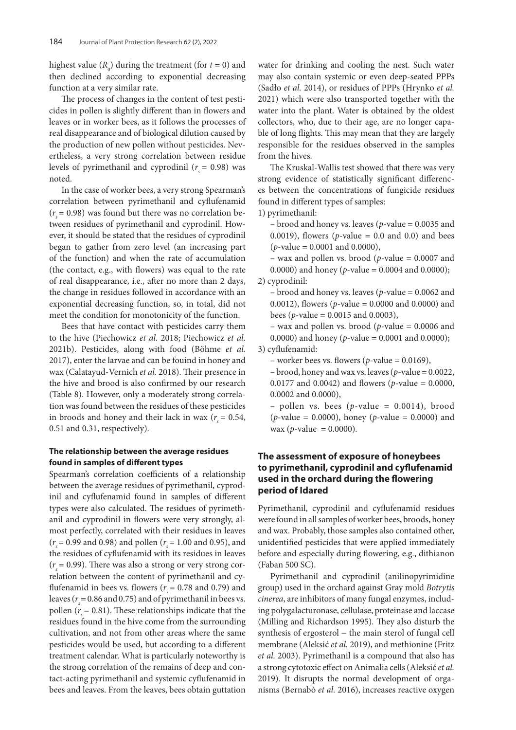highest value  $(R_0)$  during the treatment (for  $t = 0$ ) and then declined according to exponential decreasing function at a very similar rate.

The process of changes in the content of test pesticides in pollen is slightly different than in flowers and leaves or in worker bees, as it follows the processes of real disappearance and of biological dilution caused by the production of new pollen without pesticides. Nevertheless, a very strong correlation between residue levels of pyrimethanil and cyprodinil  $(r<sub>s</sub> = 0.98)$  was noted.

In the case of worker bees, a very strong Spearman's correlation between pyrimethanil and cyflufenamid  $(r<sub>s</sub> = 0.98)$  was found but there was no correlation between residues of pyrimethanil and cyprodinil. However, it should be stated that the residues of cyprodinil began to gather from zero level (an increasing part of the function) and when the rate of accumulation (the contact, e.g., with flowers) was equal to the rate of real disappearance, i.e., after no more than 2 days, the change in residues followed in accordance with an exponential decreasing function, so, in total, did not meet the condition for monotonicity of the function.

Bees that have contact with pesticides carry them to the hive (Piechowicz *et al.* 2018; Piechowicz *et al.* 2021b). Pesticides, along with food (Böhme *et al.* 2017), enter the larvae and can be fouind in honey and wax (Calatayud-Vernich *et al.* 2018). Their presence in the hive and brood is also confirmed by our research (Table 8). However, only a moderately strong correlation was found between the residues of these pesticides in broods and honey and their lack in wax ( $r = 0.54$ , 0.51 and 0.31, respectively).

### **The relationship between the average residues found in samples of different types**

Spearman's correlation coefficients of a relationship between the average residues of pyrimethanil, cyprodinil and cyflufenamid found in samples of different types were also calculated. The residues of pyrimethanil and cyprodinil in flowers were very strongly, almost perfectly, correlated with their residues in leaves  $(r<sub>s</sub> = 0.99$  and 0.98) and pollen ( $r<sub>s</sub> = 1.00$  and 0.95), and the residues of cyflufenamid with its residues in leaves  $(r_s = 0.99)$ . There was also a strong or very strong correlation between the content of pyrimethanil and cyflufenamid in bees vs. flowers ( $r<sub>s</sub>$  = 0.78 and 0.79) and leaves ( $r<sub>s</sub> = 0.86$  and 0.75) and of pyrimethanil in bees vs. pollen ( $r = 0.81$ ). These relationships indicate that the residues found in the hive come from the surrounding cultivation, and not from other areas where the same pesticides would be used, but according to a different treatment calendar. What is particularly noteworthy is the strong correlation of the remains of deep and contact-acting pyrimethanil and systemic cyflufenamid in bees and leaves. From the leaves, bees obtain guttation

water for drinking and cooling the nest. Such water may also contain systemic or even deep-seated PPPs (Sadło *et al.* 2014), or residues of PPPs (Hrynko *et al.* 2021) which were also transported together with the water into the plant. Water is obtained by the oldest collectors, who, due to their age, are no longer capable of long flights. This may mean that they are largely responsible for the residues observed in the samples from the hives.

The Kruskal-Wallis test showed that there was very strong evidence of statistically significant differences between the concentrations of fungicide residues found in different types of samples:

1) pyrimethanil:

– brood and honey vs. leaves (*p*-value = 0.0035 and 0.0019), flowers ( $p$ -value = 0.0 and 0.0) and bees (*p*-value = 0.0001 and 0.0000),

– wax and pollen vs. brood (*p*-value = 0.0007 and 0.0000) and honey (*p*-value = 0.0004 and 0.0000);

2) cyprodinil:

– brood and honey vs. leaves (*p*-value = 0.0062 and 0.0012), flowers (*p*-value = 0.0000 and 0.0000) and bees (*p*-value =  $0.0015$  and  $0.0003$ ),

– wax and pollen vs. brood (*p*-value = 0.0006 and 0.0000) and honey (*p*-value = 0.0001 and 0.0000); 3) cyflufenamid:

– worker bees vs. flowers ( $p$ -value = 0.0169),

– brood, honey and wax vs. leaves (*p*-value = 0.0022, 0.0177 and 0.0042) and flowers (*p*-value = 0.0000, 0.0002 and 0.0000),

 $-$  pollen vs. bees (*p*-value = 0.0014), brood (*p*-value = 0.0000), honey (*p*-value = 0.0000) and wax (*p*-value = 0.0000).

## **The assessment of exposure of honeybees to pyrimethanil, cyprodinil and cyflufenamid used in the orchard during the flowering period of Idared**

Pyrimethanil, cyprodinil and cyflufenamid residues were found in all samples of worker bees, broods, honey and wax. Probably, those samples also contained other, unidentified pesticides that were applied immediately before and especially during flowering, e.g., dithianon (Faban 500 SC).

Pyrimethanil and cyprodinil (anilinopyrimidine group) used in the orchard against Gray mold *Botrytis cinerea*, are inhibitors of many fungal enzymes, including polygalacturonase, cellulase, proteinase and laccase (Milling and Richardson 1995). They also disturb the synthesis of ergosterol – the main sterol of fungal cell membrane (Aleksić *et al.* 2019), and methionine (Fritz *et al.* 2003). Pyrimethanil is a compound that also has a strong cytotoxic effect on Animalia cells (Aleksić *et al.* 2019). It disrupts the normal development of organisms (Bernabò *et al.* 2016), increases reactive oxygen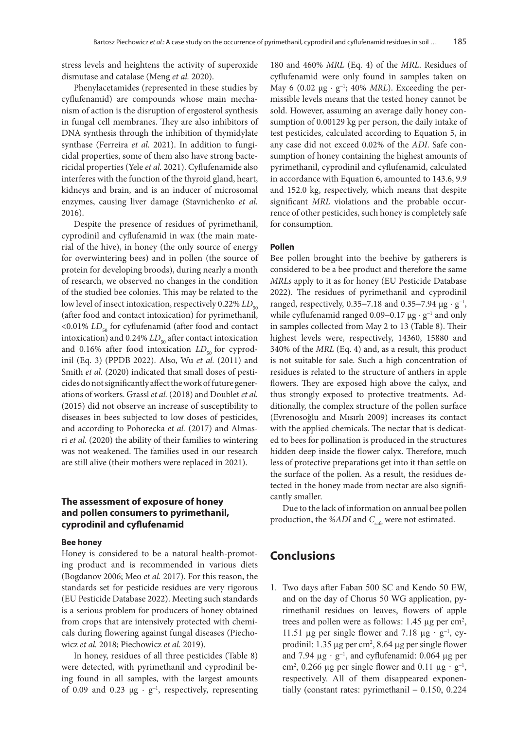stress levels and heightens the activity of superoxide dismutase and catalase (Meng *et al.* 2020).

Phenylacetamides (represented in these studies by cyflufenamid) are compounds whose main mechanism of action is the disruption of ergosterol synthesis in fungal cell membranes. They are also inhibitors of DNA synthesis through the inhibition of thymidylate synthase (Ferreira *et al.* 2021). In addition to fungicidal properties, some of them also have strong bactericidal properties (Yele *et al.* 2021). Cyflufenamide also interferes with the function of the thyroid gland, heart, kidneys and brain, and is an inducer of microsomal enzymes, causing liver damage (Stavnichenko *et al.* 2016).

Despite the presence of residues of pyrimethanil, cyprodinil and cyflufenamid in wax (the main material of the hive), in honey (the only source of energy for overwintering bees) and in pollen (the source of protein for developing broods), during nearly a month of research, we observed no changes in the condition of the studied bee colonies. This may be related to the low level of insect intoxication, respectively 0.22% *LD*<sub>50</sub> (after food and contact intoxication) for pyrimethanil, <0.01% *LD*<sub>50</sub> for cyflufenamid (after food and contact intoxication) and  $0.24\%$  *LD*<sub>50</sub> after contact intoxication and 0.16% after food intoxication  $LD_{50}$  for cyprodinil (Eq. 3) (PPDB 2022). Also, Wu *et al.* (2011) and Smith *et al.* (2020) indicated that small doses of pesticides do not significantly affect the work of future generations of workers. Grassl *et al.* (2018) and Doublet *et al.* (2015) did not observe an increase of susceptibility to diseases in bees subjected to low doses of pesticides, and according to Pohorecka *et al.* (2017) and Almasri *et al.* (2020) the ability of their families to wintering was not weakened. The families used in our research are still alive (their mothers were replaced in 2021).

### **The assessment of exposure of honey and pollen consumers to pyrimethanil, cyprodinil and cyflufenamid**

#### **Bee honey**

Honey is considered to be a natural health-promoting product and is recommended in various diets (Bogdanov 2006; Meo *et al.* 2017). For this reason, the standards set for pesticide residues are very rigorous (EU Pesticide Database 2022). Meeting such standards is a serious problem for producers of honey obtained from crops that are intensively protected with chemicals during flowering against fungal diseases (Piechowicz *et al.* 2018; Piechowicz *et al.* 2019).

In honey, residues of all three pesticides (Table 8) were detected, with pyrimethanil and cyprodinil being found in all samples, with the largest amounts of 0.09 and 0.23  $\mu$ g · g<sup>-1</sup>, respectively, representing

180 and 460% *MRL* (Eq. 4) of the *MRL*. Residues of cyflufenamid were only found in samples taken on May 6 (0.02 µg · g<sup>−</sup><sup>1</sup> ; 40% *MRL*). Exceeding the permissible levels means that the tested honey cannot be sold. However, assuming an average daily honey consumption of 0.00129 kg per person, the daily intake of test pesticides, calculated according to Equation 5, in any case did not exceed 0.02% of the *ADI*. Safe consumption of honey containing the highest amounts of pyrimethanil, cyprodinil and cyflufenamid, calculated in accordance with Equation 6, amounted to 143.6, 9.9 and 152.0 kg, respectively, which means that despite significant *MRL* violations and the probable occurrence of other pesticides, such honey is completely safe for consumption.

#### **Pollen**

Bee pollen brought into the beehive by gatherers is considered to be a bee product and therefore the same *MRLs* apply to it as for honey (EU Pesticide Database 2022). The residues of pyrimethanil and cyprodinil ranged, respectively, 0.35–7.18 and 0.35–7.94  $\mu$ g · g<sup>-1</sup>, while cyflufenamid ranged 0.09–0.17 μg · g<sup>-1</sup> and only in samples collected from May 2 to 13 (Table 8). Their highest levels were, respectively, 14360, 15880 and 340% of the *MRL* (Eq. 4) and, as a result, this product is not suitable for sale. Such a high concentration of residues is related to the structure of anthers in apple flowers. They are exposed high above the calyx, and thus strongly exposed to protective treatments. Additionally, the complex structure of the pollen surface (Evrenosoğlu and Mısırlı 2009) increases its contact with the applied chemicals. The nectar that is dedicated to bees for pollination is produced in the structures hidden deep inside the flower calyx. Therefore, much less of protective preparations get into it than settle on the surface of the pollen. As a result, the residues detected in the honey made from nectar are also significantly smaller.

Due to the lack of information on annual bee pollen production, the %ADI and C<sub>safe</sub> were not estimated.

## **Conclusions**

1. Two days after Faban 500 SC and Kendo 50 EW, and on the day of Chorus 50 WG application, pyrimethanil residues on leaves, flowers of apple trees and pollen were as follows:  $1.45 \mu$ g per cm<sup>2</sup>, 11.51 µg per single flower and 7.18 µg ·  $g^{-1}$ , cyprodinil:  $1.35 \mu$ g per cm<sup>2</sup>,  $8.64 \mu$ g per single flower and 7.94  $\mu$ g · g<sup>-1</sup>, and cyflufenamid: 0.064  $\mu$ g per cm<sup>2</sup>, 0.266 µg per single flower and 0.11 µg ·  $g^{-1}$ , respectively. All of them disappeared exponentially (constant rates: pyrimethanil  $- 0.150, 0.224$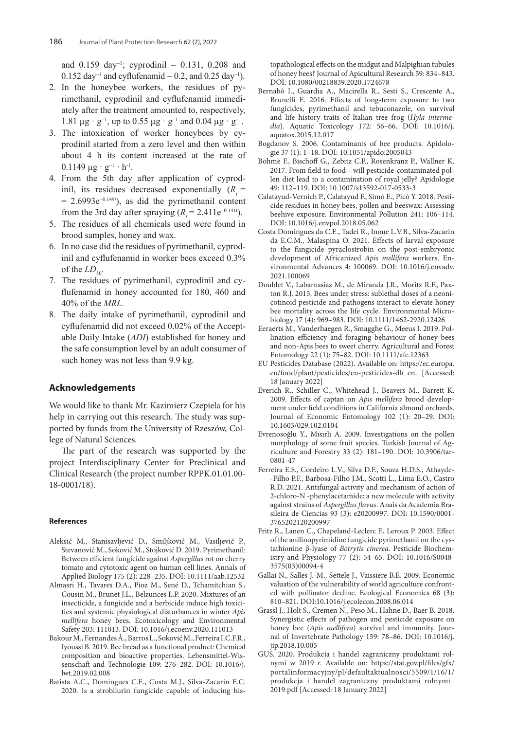and 0.159 day<sup>−</sup><sup>1</sup> ; cyprodinil − 0.131, 0.208 and 0.152 day<sup>-1</sup> and cyflufenamid – 0.2, and 0.25 day<sup>-1</sup>).

- 2. In the honeybee workers, the residues of pyrimethanil, cyprodinil and cyflufenamid immediately after the treatment amounted to, respectively, 1.81 μg · g<sup>-1</sup>, up to 0.55 μg · g<sup>-1</sup> and 0.04 μg · g<sup>-1</sup>.
- 3. The intoxication of worker honeybees by cyprodinil started from a zero level and then within about 4 h its content increased at the rate of  $0.1149 \mu g \cdot g^{-1} \cdot h^{-1}$ .
- 4. From the 5th day after application of cyprodinil, its residues decreased exponentially  $(R_$  = = 2.6993e<sup>−</sup>0.149*<sup>t</sup>* ), as did the pyrimethanil content from the 3rd day after spraying  $(R_t = 2.411e^{-0.141t})$ .
- 5. The residues of all chemicals used were found in brood samples, honey and wax.
- 6. In no case did the residues of pyrimethanil, cyprodinil and cyflufenamid in worker bees exceed 0.3% of the  $LD_{50}$ .
- 7. The residues of pyrimethanil, cyprodinil and cyflufenamid in honey accounted for 180, 460 and 40% of the *MRL*.
- 8. The daily intake of pyrimethanil, cyprodinil and cyflufenamid did not exceed 0.02% of the Acceptable Daily Intake (*ADI*) established for honey and the safe consumption level by an adult consumer of such honey was not less than 9.9 kg.

### **Acknowledgements**

We would like to thank Mr. Kazimierz Czepiela for his help in carrying out this research. The study was supported by funds from the University of Rzeszów, College of Natural Sciences.

The part of the research was supported by the project Interdisciplinary Center for Preclinical and Clinical Research (the project number RPPK.01.01.00- 18-0001/18).

#### **References**

- Aleksić M., Stanisavljević D., Smiljković M., Vasiljević P., Stevanović M., Soković M., Stojković D. 2019. Pyrimethanil: Between efficient fungicide against *Aspergillus* rot on cherry tomato and cytotoxic agent on human cell lines. Annals of Applied Biology 175 (2): 228–235. DOI: 10.1111/aab.12532
- Almasri H., Tavares D.A., Pioz M., Sené D., Tchamitchian S., Cousin M., Brunet J.L., Belzunces L.P. 2020. Mixtures of an insecticide, a fungicide and a herbicide induce high toxicities and systemic physiological disturbances in winter *Apis mellifera* honey bees. Ecotoxicology and Environmental Safety 203: 111013. DOI: 10.1016/j.ecoenv.2020.111013
- Bakour M., Fernandes Â., Barros L., Soković M., Ferreira I.C.F.R., Iyoussi B. 2019. Bee bread as a functional product: Chemical composition and bioactive properties. Lebensmittel-Wissenschaft and Technologie 109: 276–282. DOI: 10.1016/j. lwt.2019.02.008
- Batista A.C., Domingues C.E., Costa M.J., Silva-Zacarin E.C. 2020. Is a strobilurin fungicide capable of inducing his-

topathological effects on the midgut and Malpighian tubules of honey bees? Journal of Apicultural Research 59: 834–843. DOI: 10.1080/00218839.2020.1724678

- Bernabò I., Guardia A., Macirella R., Sesti S., Crescente A., Brunelli E. 2016. Effects of long-term exposure to two fungicides, pyrimethanil and tebuconazole, on survival and life history traits of Italian tree frog (*Hyla intermedia*). Aquatic Toxicology 172: 56–66. DOI: 10.1016/j. aquatox.2015.12.017
- Bogdanov S. 2006. Contaminants of bee products. Apidologie 37 (1): 1–18. DOI: 10.1051/apido:2005043
- Böhme F., Bischoff G., Zebitz C.P., Rosenkranz P., Wallner K. 2017. From field to food—will pesticide-contaminated pollen diet lead to a contamination of royal jelly? Apidologie 49: 112–119. DOI: 10.1007/s13592-017-0533-3
- Calatayud-Vernich P., Calatayud F., Simó E., Picó Y. 2018. Pesticide residues in honey bees, pollen and beeswax: Assessing beehive exposure. Environmental Pollution 241: 106–114. DOI: 10.1016/j.envpol.2018.05.062
- Costa Domingues da C.E., Tadei R., Inoue L.V.B., Silva-Zacarin da E.C.M., Malaspina O. 2021. Effects of larval exposure to the fungicide pyraclostrobin on the post-embryonic development of Africanized *Apis mellifera* workers. Environmental Advances 4: 100069. DOI: 10.1016/j.envadv. 2021.100069
- Doublet V., Labarussias M., de Miranda J.R., Moritz R.F., Paxton R.J. 2015. Bees under stress: sublethal doses of a neonicotinoid pesticide and pathogens interact to elevate honey bee mortality across the life cycle. Environmental Microbiology 17 (4): 969–983. DOI: 10.1111/1462-2920.12426
- Eeraerts M., Vanderhaegen R., Smagghe G., Meeus I. 2019. Pollination efficiency and foraging behaviour of honey bees and non-Apis bees to sweet cherry. Agricultural and Forest Entomology 22 (1): 75–82. DOI: 10.1111/afe.12363
- EU Pesticides Database (2022). Available on: https://ec.europa. eu/food/plant/pesticides/eu-pesticides-db\_en. [Accessed: 18 January 2022]
- Everich R., Schiller C., Whitehead J., Beavers M., Barrett K. 2009. Effects of captan on *Apis mellifera* brood development under field conditions in California almond orchards. Journal of Economic Entomology 102 (1): 20–29. DOI: 10.1603/029.102.0104
- Evrenosoğlu Y., Mısırlı A. 2009. Investigations on the pollen morphology of some fruit species. Turkish Journal of Agriculture and Forestry 33 (2): 181–190. DOI: 10.3906/tar-0801-47
- Ferreira E.S., Cordeiro L.V., Silva D.F., Souza H.D.S., Athayde- -Filho P.F., Barbosa-Filho J.M., Scotti L., Lima E.O., Castro R.D. 2021. Antifungal activity and mechanism of action of 2-chloro-N -phenylacetamide: a new molecule with activity against strains of *Aspergillus flavus*. Anais da Academia Brasileira de Ciencias 93 (3): e20200997. DOI: 10.1590/0001- 3765202120200997
- Fritz R., Lanen C., Chapeland-Leclerc F., Leroux P. 2003. Effect of the anilinopyrimidine fungicide pyrimethanil on the cystathionine β-lyase of *Botrytis cinerea*. Pesticide Biochemistry and Physiology 77 (2): 54–65. DOI: 10.1016/S0048- 3575(03)00094-4
- Gallai N., Salles J.-M., Settele J., Vaissiere B.E. 2009. Economic valuation of the vulnerability of world agriculture confronted with pollinator decline. Ecological Economics 68 (3): 810–821. DOI:10.1016/j.ecolecon.2008.06.014
- Grassl J., Holt S., Cremen N., Peso M., Hahne D., Baer B. 2018. Synergistic effects of pathogen and pesticide exposure on honey bee (*Apis mellifera*) survival and immunity. Journal of Invertebrate Pathology 159: 78–86. DOI: 10.1016/j. jip.2018.10.005
- GUS. 2020. Produkcja i handel zagraniczny produktami rolnymi w 2019 r. Available on: https://stat.gov.pl/files/gfx/ portalinformacyjny/pl/defaultaktualnosci/5509/1/16/1/ produkcja\_i\_handel\_zagraniczny\_produktami\_rolnymi\_ 2019.pdf [Accessed: 18 January 2022]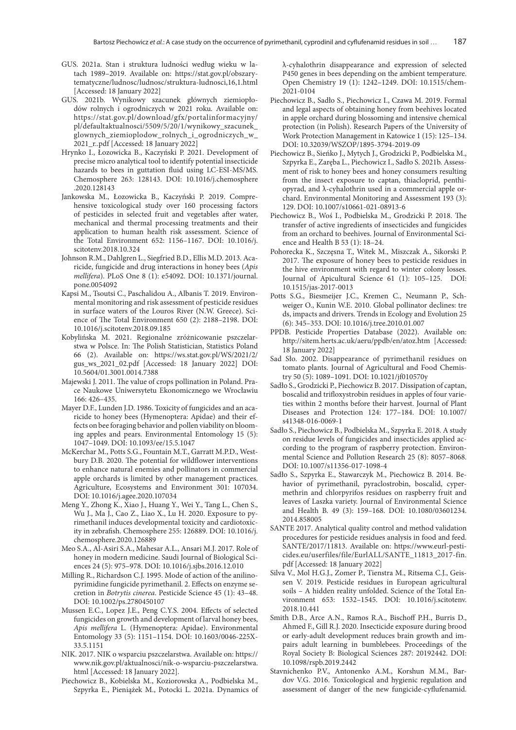- GUS. 2021a. Stan i struktura ludności według wieku w latach 1989–2019. Available on: https://stat.gov.pl/obszarytematyczne/ludnosc/ludnosc/struktura-ludnosci,16,1.html [Accessed: 18 January 2022]
- GUS. 2021b. Wynikowy szacunek głównych ziemiopłodów rolnych i ogrodniczych w 2021 roku. Available on: https://stat.gov.pl/download/gfx/portalinformacyjny/ pl/defaultaktualnosci/5509/5/20/1/wynikowy\_szacunek\_ glownych\_ziemioplodow\_rolnych\_i\_ogrodniczych\_w\_ 2021\_r..pdf [Accessed: 18 January 2022]
- Hrynko I., Łozowicka B., Kaczyński P. 2021. Development of precise micro analytical tool to identify potential insecticide hazards to bees in guttation fluid using LC-ESI-MS/MS. Chemosphere 263: 128143. DOI: 10.1016/j.chemosphere .2020.128143
- Jankowska M., Łozowicka B., Kaczyński P. 2019. Comprehensive toxicological study over 160 processing factors of pesticides in selected fruit and vegetables after water, mechanical and thermal processing treatments and their application to human health risk assessment. Science of the Total Environment 652: 1156–1167. DOI: 10.1016/j. scitotenv.2018.10.324
- Johnson R.M., Dahlgren L., Siegfried B.D., Ellis M.D. 2013. Acaricide, fungicide and drug interactions in honey bees (*Apis mellifera*). PLoS One 8 (1): e54092. DOI: 10.1371/journal. pone.0054092
- Kapsi M., Tsoutsi C., Paschalidou A., Albanis T. 2019. Environmental monitoring and risk assessment of pesticide residues in surface waters of the Louros River (N.W. Greece). Science of The Total Environment 650 (2): 2188–2198. DOI: 10.1016/j.scitotenv.2018.09.185
- Kobylińska M. 2021. Regionalne zróżnicowanie pszczelarstwa w Polsce. In: The Polish Statistician, Statistics Poland 66 (2). Available on: https://ws.stat.gov.pl/WS/2021/2/ gus\_ws\_2021\_02.pdf [Accessed: 18 January 2022] DOI: 10.5604/01.3001.0014.7388
- Majewski J. 2011. The value of crops pollination in Poland. Prace Naukowe Uniwersytetu Ekonomicznego we Wrocławiu 166: 426–435.
- Mayer D.F., Lunden J.D. 1986. Toxicity of fungicides and an acaricide to honey bees (Hymenoptera: Apidae) and their effects on bee foraging behavior and pollen viability on blooming apples and pears. Environmental Entomology 15 (5): 1047–1049. DOI: 10.1093/ee/15.5.1047
- McKerchar M., Potts S.G., Fountain M.T., Garratt M.P.D., Westbury D.B. 2020. The potential for wildflower interventions to enhance natural enemies and pollinators in commercial apple orchards is limited by other management practices. Agriculture, Ecosystems and Environment 301: 107034. DOI: 10.1016/j.agee.2020.107034
- Meng Y., Zhong K., Xiao J., Huang Y., Wei Y., Tang L., Chen S., Wu J., Ma J., Cao Z., Liao X., Lu H. 2020. Exposure to pyrimethanil induces developmental toxicity and cardiotoxicity in zebrafish. Chemosphere 255: 126889. DOI: 10.1016/j. chemosphere.2020.126889
- Meo S.A., Al-Asiri S.A., Mahesar A.L., Ansari M.J. 2017. Role of honey in modern medicine. Saudi Journal of Biological Sciences 24 (5): 975–978. DOI: 10.1016/j.sjbs.2016.12.010
- Milling R., Richardson C.J. 1995. Mode of action of the anilinopyrimidine fungicide pyrimethanil. 2. Effects on enzyme secretion in *Botrytis cinerea*. Pesticide Science 45 (1): 43–48. DOI: 10.1002/ps.2780450107
- Mussen E.C., Lopez J.E., Peng C.Y.S. 2004. Effects of selected fungicides on growth and development of larval honey bees, *Apis mellifera* L. (Hymenoptera: Apidae). Environmental Entomology 33 (5): 1151–1154. DOI: 10.1603/0046-225X-33.5.1151
- NIK. 2017. NIK o wsparciu pszczelarstwa. Available on: https:// www.nik.gov.pl/aktualnosci/nik-o-wsparciu-pszczelarstwa. html [Accessed: 18 January 2022].
- Piechowicz B., Kobielska M., Koziorowska A., Podbielska M., Szpyrka E., Pieniążek M., Potocki L. 2021a. Dynamics of

λ-cyhalothrin disappearance and expression of selected P450 genes in bees depending on the ambient temperature. Open Chemistry 19 (1): 1242–1249. DOI: 10.1515/chem-2021-0104

- Piechowicz B., Sadło S., Piechowicz I., Czawa M. 2019. Formal and legal aspects of obtaining honey from beehives located in apple orchard during blossoming and intensive chemical protection (in Polish). Research Papers of the University of Work Protection Management in Katowice 1 (15): 125–134. DOI: 10.32039/WSZOP/1895-3794-2019-09
- Piechowicz B., Sieńko J., Mytych J., Grodzicki P., Podbielska M., Szpyrka E., Zaręba L., Piechowicz I., Sadło S. 2021b. Assessment of risk to honey bees and honey consumers resulting from the insect exposure to captan, thiacloprid, penthiopyrad, and λ-cyhalothrin used in a commercial apple orchard. Environmental Monitoring and Assessment 193 (3): 129. DOI: 10.1007/s10661-021-08913-6
- Piechowicz B., Woś I., Podbielska M., Grodzicki P. 2018. The transfer of active ingredients of insecticides and fungicides from an orchard to beehives. Journal of Environmental Science and Health B 53 (1): 18–24.
- Pohorecka K., Szczęsna T., Witek M., Miszczak A., Sikorski P. 2017. The exposure of honey bees to pesticide residues in the hive environment with regard to winter colony losses. Journal of Apicultural Science 61 (1): 105–125. DOI: 10.1515/jas-2017-0013
- Potts S.G., Biesmeijer J.C., Kremen C., Neumann P., Schweiger O., Kunin W.E. 2010. Global pollinator declines: tre ds, impacts and drivers. Trends in Ecology and Evolution 25 (6): 345–353. DOI: 10.1016/j.tree.2010.01.007
- PPDB. Pesticide Properties Database (2022). Available on: http://sitem.herts.ac.uk/aeru/ppdb/en/atoz.htm [Accessed: 18 January 2022]
- Sad Sło. 2002. Disappearance of pyrimethanil residues on tomato plants. Journal of Agricultural and Food Chemistry 50 (5): 1089–1091. DOI: 10.1021/jf010570y
- Sadło S., Grodzicki P., Piechowicz B. 2017. Dissipation of captan, boscalid and trifloxystrobin residues in apples of four varieties within 2 months before their harvest. Journal of Plant Diseases and Protection 124: 177–184. DOI: 10.1007/ s41348-016-0069-1
- Sadło S., Piechowicz B., Podbielska M., Szpyrka E. 2018. A study on residue levels of fungicides and insecticides applied according to the program of raspberry protection. Environmental Science and Pollution Research 25 (8): 8057–8068. DOI: 10.1007/s11356-017-1098-4
- Sadło S., Szpyrka E., Stawarczyk M., Piechowicz B. 2014. Behavior of pyrimethanil, pyraclostrobin, boscalid, cypermethrin and chlorpyrifos residues on raspberry fruit and leaves of Laszka variety. Journal of Environmental Science and Health B. 49 (3): 159–168. DOI: 10.1080/03601234. 2014.858005
- SANTE 2017. Analytical quality control and method validation procedures for pesticide residues analysis in food and feed. SANTE/2017/11813. Available on: https://www.eurl-pesticides.eu/userfiles/file/EurlALL/SANTE\_11813\_2017-fin. pdf [Accessed: 18 January 2022]
- Silva V., Mol H.G.J., Zomer P., Tienstra M., Ritsema C.J., Geissen V. 2019. Pesticide residues in European agricultural soils – A hidden reality unfolded. Science of the Total Environment 653: 1532–1545. DOI: 10.1016/j.scitotenv. 2018.10.441
- Smith D.B., Arce A.N., Ramos R.A., Bischoff P.H., Burris D., Ahmed F., Gill R.J. 2020. Insecticide exposure during brood or early-adult development reduces brain growth and impairs adult learning in bumblebees. Proceedings of the Royal Society B: Biological Sciences 287: 20192442. DOI: 10.1098/rspb.2019.2442
- Stavnichenko P.V., Antonenko A.M., Korshun M.M., Bardov V.G. 2016. Toxicological and hygienic regulation and assessment of danger of the new fungicide-cyflufenamid.